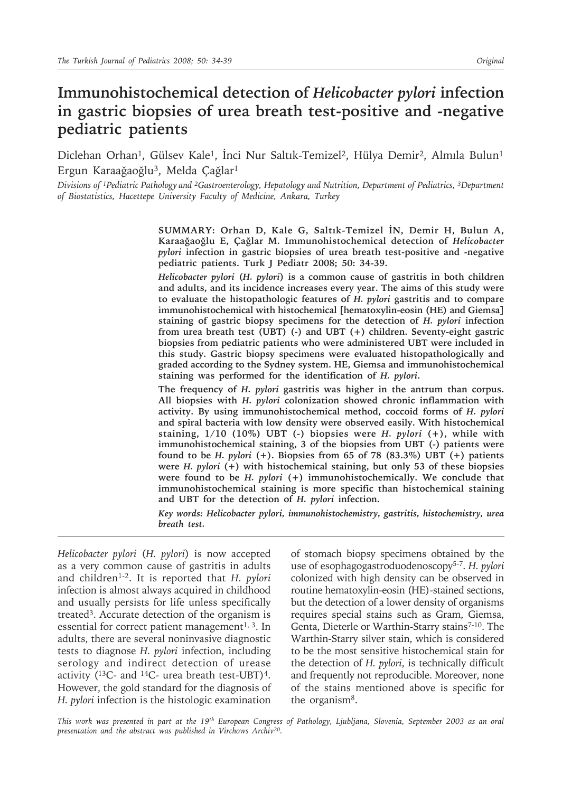# **Immunohistochemical detection of** *Helicobacter pylori* **infection in gastric biopsies of urea breath test-positive and -negative pediatric patients**

Diclehan Orhan<sup>1</sup>, Gülsev Kale<sup>1</sup>, İnci Nur Saltık-Temizel<sup>2</sup>, Hülya Demir<sup>2</sup>, Almıla Bulun<sup>1</sup> Ergun Karaağaoğlu<sup>3</sup>, Melda Çağlar<sup>1</sup>

*Divisions of 1Pediatric Pathology and 2Gastroenterology, Hepatology and Nutrition, Department of Pediatrics, 3Department of Biostatistics, Hacettepe University Faculty of Medicine, Ankara, Turkey*

> **SUMMARY: Orhan D, Kale G, Saltık-Temizel İN, Demir H, Bulun A, Karaağaoğlu E, Çağlar M. Immunohistochemical detection of** *Helicobacter pylori* **infection in gastric biopsies of urea breath test-positive and -negative pediatric patients. Turk J Pediatr 2008; 50: 34-39.**

> *Helicobacter pylori* **(***H. pylori***) is a common cause of gastritis in both children and adults, and its incidence increases every year. The aims of this study were to evaluate the histopathologic features of** *H. pylori* **gastritis and to compare immunohistochemical with histochemical [hematoxylin-eosin (HE) and Giemsa] staining of gastric biopsy specimens for the detection of** *H. pylori* **infection from urea breath test (UBT) (-) and UBT (+) children. Seventy-eight gastric biopsies from pediatric patients who were administered UBT were included in this study. Gastric biopsy specimens were evaluated histopathologically and graded according to the Sydney system. HE, Giemsa and immunohistochemical staining was performed for the identification of** *H. pylori***.**

> **The frequency of** *H. pylori* **gastritis was higher in the antrum than corpus. All biopsies with** *H. pylori* **colonization showed chronic inflammation with activity. By using immunohistochemical method, coccoid forms of** *H. pylori* **and spiral bacteria with low density were observed easily. With histochemical staining, 1/10 (10%) UBT (-) biopsies were** *H. pylori* **(+), while with immunohistochemical staining, 3 of the biopsies from UBT (-) patients were found to be** *H. pylori* **(+). Biopsies from 65 of 78 (83.3%) UBT (+) patients were** *H. pylori* **(+) with histochemical staining, but only 53 of these biopsies were found to be** *H. pylori* **(+) immunohistochemically. We conclude that immunohistochemical staining is more specific than histochemical staining and UBT for the detection of** *H. pylori* **infection.**

> *Key words: Helicobacter pylori, immunohistochemistry, gastritis, histochemistry, urea breath test.*

*Helicobacter pylori* (*H. pylori*) is now accepted as a very common cause of gastritis in adults and children1-2. It is reported that *H. pylori* infection is almost always acquired in childhood and usually persists for life unless specifically treated3. Accurate detection of the organism is essential for correct patient management<sup>1, 3</sup>. In adults, there are several noninvasive diagnostic tests to diagnose *H. pylori* infection, including serology and indirect detection of urease activity ( $^{13}$ C- and  $^{14}$ C- urea breath test-UBT)<sup>4</sup>. However, the gold standard for the diagnosis of *H. pylori* infection is the histologic examination

of stomach biopsy specimens obtained by the use of esophagogastroduodenoscopy5-7. *H. pylori* colonized with high density can be observed in routine hematoxylin-eosin (HE)-stained sections, but the detection of a lower density of organisms requires special stains such as Gram, Giemsa, Genta, Dieterle or Warthin-Starry stains<sup>7-10</sup>. The Warthin-Starry silver stain, which is considered to be the most sensitive histochemical stain for the detection of *H. pylori*, is technically difficult and frequently not reproducible. Moreover, none of the stains mentioned above is specific for the organism8.

*This work was presented in part at the 19th European Congress of Pathology, Ljubljana, Slovenia, September 2003 as an oral presentation and the abstract was published in Virchows Archiv20.*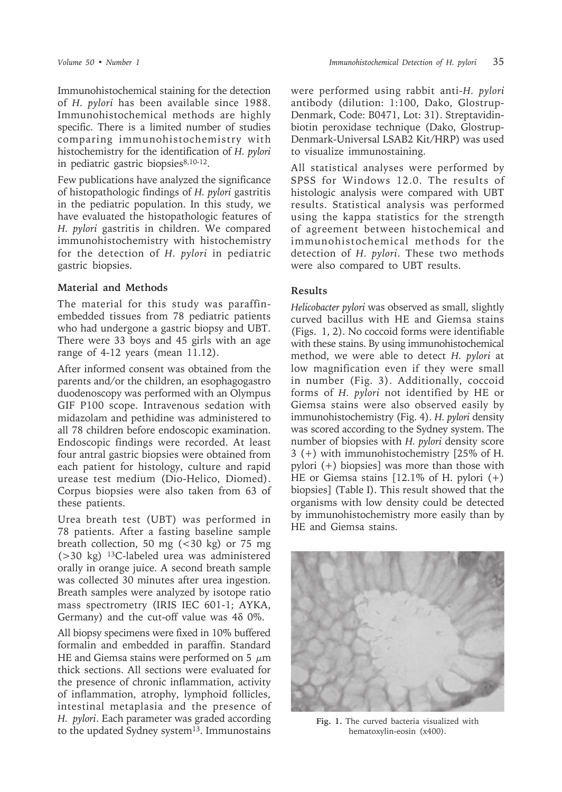Immunohistochemical staining for the detection of *H. pylori* has been available since 1988. Immunohistochemical methods are highly specific. There is a limited number of studies comparing immunohistochemistry with histochemistry for the identification of *H. pylori* in pediatric gastric biopsies<sup>8,10-12</sup>.

Few publications have analyzed the significance of histopathologic findings of *H. pylori* gastritis in the pediatric population. In this study, we have evaluated the histopathologic features of *H. pylori* gastritis in children. We compared immunohistochemistry with histochemistry for the detection of *H. pylori* in pediatric gastric biopsies.

## **Material and Methods**

The material for this study was paraffinembedded tissues from 78 pediatric patients who had undergone a gastric biopsy and UBT. There were 33 boys and 45 girls with an age range of 4-12 years (mean 11.12).

After informed consent was obtained from the parents and/or the children, an esophagogastro duodenoscopy was performed with an Olympus GIF P100 scope. Intravenous sedation with midazolam and pethidine was administered to all 78 children before endoscopic examination. Endoscopic findings were recorded. At least four antral gastric biopsies were obtained from each patient for histology, culture and rapid urease test medium (Dio-Helico, Diomed). Corpus biopsies were also taken from 63 of these patients.

Urea breath test (UBT) was performed in 78 patients. After a fasting baseline sample breath collection, 50 mg  $\left( < 30 \right)$  kg) or 75 mg  $(>30 \text{ kg})$  <sup>13</sup>C-labeled urea was administered orally in orange juice. A second breath sample was collected 30 minutes after urea ingestion. Breath samples were analyzed by isotope ratio mass spectrometry (IRIS IEC 601-1; AYKA, Germany) and the cut-off value was 4δ 0%.

All biopsy specimens were fixed in 10% buffered formalin and embedded in paraffin. Standard HE and Giemsa stains were performed on 5  $\mu$ m thick sections. All sections were evaluated for the presence of chronic inflammation, activity of inflammation, atrophy, lymphoid follicles, intestinal metaplasia and the presence of *H. pylori*. Each parameter was graded according to the updated Sydney system<sup>13</sup>. Immunostains

were performed using rabbit anti-*H. pylori* antibody (dilution: 1:100, Dako, Glostrup-Denmark, Code: B0471, Lot: 31). Streptavidinbiotin peroxidase technique (Dako, Glostrup-Denmark-Universal LSAB2 Kit/HRP) was used to visualize immunostaining.

All statistical analyses were performed by SPSS for Windows 12.0. The results of histologic analysis were compared with UBT results. Statistical analysis was performed using the kappa statistics for the strength of agreement between histochemical and immunohistochemical methods for the detection of *H. pylori*. These two methods were also compared to UBT results.

## **Results**

*Helicobacter pylori* was observed as small, slightly curved bacillus with HE and Giemsa stains (Figs. 1, 2). No coccoid forms were identifiable with these stains. By using immunohistochemical method, we were able to detect *H. pylori* at low magnification even if they were small in number (Fig. 3). Additionally, coccoid forms of *H. pylori* not identified by HE or Giemsa stains were also observed easily by immunohistochemistry (Fig. 4). *H. pylori* density was scored according to the Sydney system. The number of biopsies with *H. pylori* density score 3 (+) with immunohistochemistry [25% of H. pylori (+) biopsies] was more than those with HE or Giemsa stains [12.1% of H. pylori (+) biopsies] (Table I). This result showed that the organisms with low density could be detected by immunohistochemistry more easily than by HE and Giemsa stains.



**Fig. 1.** The curved bacteria visualized with hematoxylin-eosin (x400).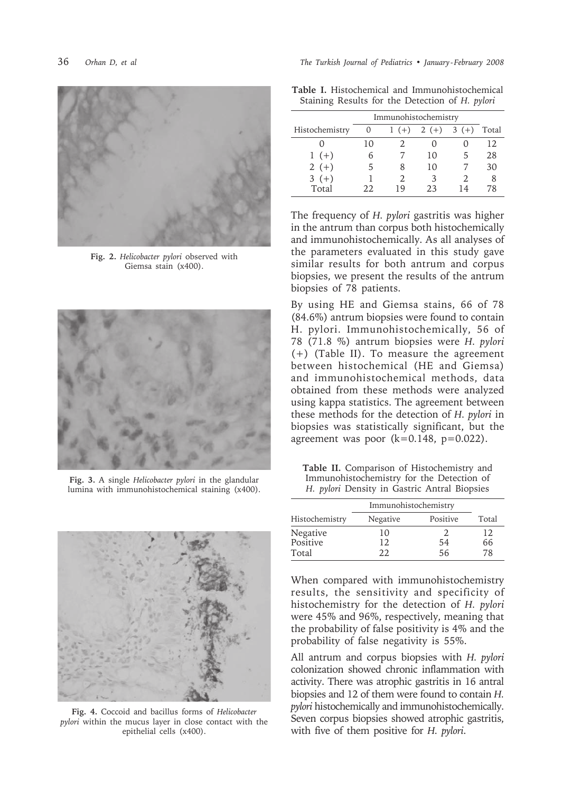

**Fig. 2.** *Helicobacter pylori* observed with Giemsa stain (x400).



**Fig. 3.** A single *Helicobacter pylori* in the glandular lumina with immunohistochemical staining (x400).



**Fig. 4.** Coccoid and bacillus forms of *Helicobacter pylori* within the mucus layer in close contact with the epithelial cells (x400).

|  |  | Table I. Histochemical and Immunohistochemical  |  |
|--|--|-------------------------------------------------|--|
|  |  | Staining Results for the Detection of H. pylori |  |

|                | Immunohistochemistry |    |                     |    |       |
|----------------|----------------------|----|---------------------|----|-------|
| Histochemistry | $\left( \right)$     |    | $1 (+) 2 (+) 3 (+)$ |    | Total |
|                | 10                   |    |                     |    | 12.   |
| $1 (+)$        | 6                    |    | 10                  | 5  | 28    |
| $2(+)$         | 5                    |    | 10                  |    | 30    |
| $3(+)$         |                      |    | 3                   |    |       |
| Total          | フフ                   | 19 | つろ                  | 14 | 78    |

The frequency of *H. pylori* gastritis was higher in the antrum than corpus both histochemically and immunohistochemically. As all analyses of the parameters evaluated in this study gave similar results for both antrum and corpus biopsies, we present the results of the antrum biopsies of 78 patients.

By using HE and Giemsa stains, 66 of 78 (84.6%) antrum biopsies were found to contain H. pylori. Immunohistochemically, 56 of 78 (71.8 %) antrum biopsies were *H. pylori* (+) (Table II). To measure the agreement between histochemical (HE and Giemsa) and immunohistochemical methods, data obtained from these methods were analyzed using kappa statistics. The agreement between these methods for the detection of *H. pylori* in biopsies was statistically significant, but the agreement was poor  $(k=0.148, p=0.022)$ .

**Table II.** Comparison of Histochemistry and Immunohistochemistry for the Detection of *H. pylori* Density in Gastric Antral Biopsies

|                | Immunohistochemistry |          |       |
|----------------|----------------------|----------|-------|
| Histochemistry | Negative             | Positive | Total |
| Negative       | 10                   |          | 12    |
| Positive       | 12                   | 54       | 66    |
| Total          | つつ                   | 56       | 78    |

When compared with immunohistochemistry results, the sensitivity and specificity of histochemistry for the detection of *H. pylori* were 45% and 96%, respectively, meaning that the probability of false positivity is 4% and the probability of false negativity is 55%.

All antrum and corpus biopsies with *H. pylori* colonization showed chronic inflammation with activity. There was atrophic gastritis in 16 antral biopsies and 12 of them were found to contain *H. pylori* histochemically and immunohistochemically. Seven corpus biopsies showed atrophic gastritis, with five of them positive for *H. pylori*.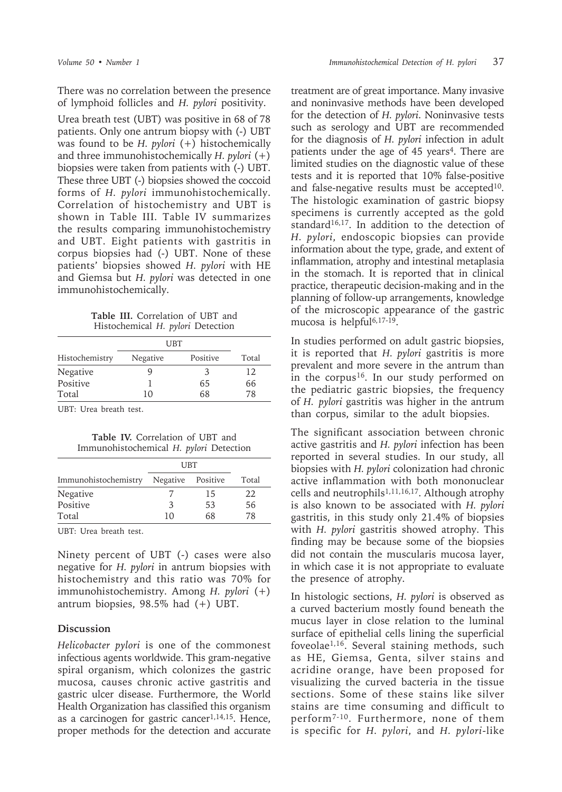There was no correlation between the presence of lymphoid follicles and *H. pylori* positivity.

Urea breath test (UBT) was positive in 68 of 78 patients. Only one antrum biopsy with (-) UBT was found to be *H. pylori* (+) histochemically and three immunohistochemically *H. pylori* (+) biopsies were taken from patients with (-) UBT. These three UBT (-) biopsies showed the coccoid forms of *H. pylori* immunohistochemically. Correlation of histochemistry and UBT is shown in Table III. Table IV summarizes the results comparing immunohistochemistry and UBT. Eight patients with gastritis in corpus biopsies had (-) UBT. None of these patients' biopsies showed *H. pylori* with HE and Giemsa but *H. pylori* was detected in one immunohistochemically.

**Table III.** Correlation of UBT and Histochemical *H. pylori* Detection

|                | UBT      |          |       |
|----------------|----------|----------|-------|
| Histochemistry | Negative | Positive | Total |
| Negative       |          | 3        | 12    |
| Positive       |          | 65       | 66    |
| Total          | 10       | 68       | 78    |

UBT: Urea breath test.

**Table IV.** Correlation of UBT and Immunohistochemical *H. pylori* Detection

|                      | <b>UBT</b>        |    |       |
|----------------------|-------------------|----|-------|
| Immunohistochemistry | Negative Positive |    | Total |
| <b>Negative</b>      |                   | 15 | 22.   |
| Positive             | 3                 | 53 | 56    |
| Total                | 10                | 68 | 78    |

UBT: Urea breath test.

Ninety percent of UBT (-) cases were also negative for *H. pylori* in antrum biopsies with histochemistry and this ratio was 70% for immunohistochemistry. Among *H. pylori* (+) antrum biopsies, 98.5% had (+) UBT.

### **Discussion**

*Helicobacter pylori* is one of the commonest infectious agents worldwide. This gram-negative spiral organism, which colonizes the gastric mucosa, causes chronic active gastritis and gastric ulcer disease. Furthermore, the World Health Organization has classified this organism as a carcinogen for gastric cancer<sup>1,14,15</sup>. Hence, proper methods for the detection and accurate treatment are of great importance. Many invasive and noninvasive methods have been developed for the detection of *H. pylori*. Noninvasive tests such as serology and UBT are recommended for the diagnosis of *H. pylori* infection in adult patients under the age of 45 years<sup>4</sup>. There are limited studies on the diagnostic value of these tests and it is reported that 10% false-positive and false-negative results must be accepted<sup>10</sup>. The histologic examination of gastric biopsy specimens is currently accepted as the gold standard<sup>16,17</sup>. In addition to the detection of *H. pylori*, endoscopic biopsies can provide information about the type, grade, and extent of inflammation, atrophy and intestinal metaplasia in the stomach. It is reported that in clinical practice, therapeutic decision-making and in the planning of follow-up arrangements, knowledge of the microscopic appearance of the gastric mucosa is helpful<sup>6,17-19</sup>.

In studies performed on adult gastric biopsies, it is reported that *H. pylori* gastritis is more prevalent and more severe in the antrum than in the corpus<sup>16</sup>. In our study performed on the pediatric gastric biopsies, the frequency of *H. pylori* gastritis was higher in the antrum than corpus, similar to the adult biopsies.

The significant association between chronic active gastritis and *H. pylori* infection has been reported in several studies. In our study, all biopsies with *H. pylori* colonization had chronic active inflammation with both mononuclear cells and neutrophils<sup>1,11,16,17</sup>. Although atrophy is also known to be associated with *H. pylori* gastritis, in this study only 21.4% of biopsies with *H. pylori* gastritis showed atrophy. This finding may be because some of the biopsies did not contain the muscularis mucosa layer, in which case it is not appropriate to evaluate the presence of atrophy.

In histologic sections, *H. pylori* is observed as a curved bacterium mostly found beneath the mucus layer in close relation to the luminal surface of epithelial cells lining the superficial foveolae1,16. Several staining methods, such as HE, Giemsa, Genta, silver stains and acridine orange, have been proposed for visualizing the curved bacteria in the tissue sections. Some of these stains like silver stains are time consuming and difficult to perform7-10. Furthermore, none of them is specific for *H. pylori*, and *H. pylori*-like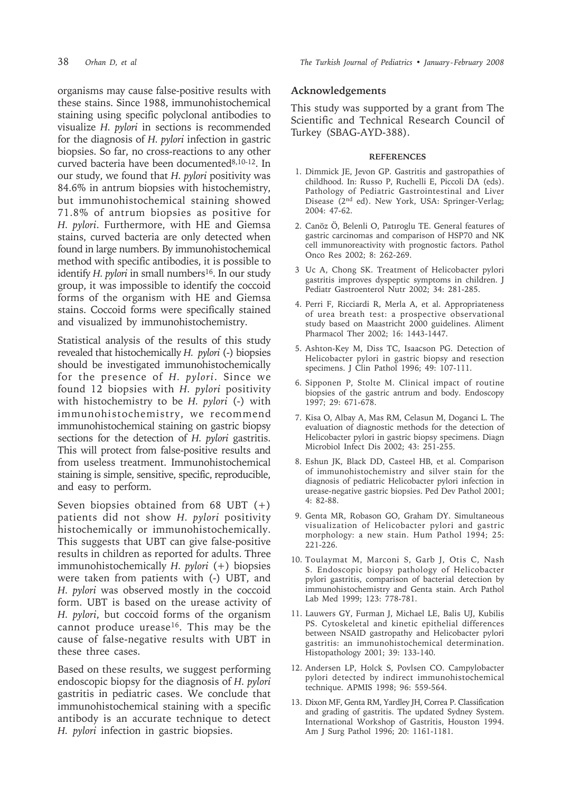organisms may cause false-positive results with these stains. Since 1988, immunohistochemical staining using specific polyclonal antibodies to visualize *H. pylori* in sections is recommended for the diagnosis of *H. pylori* infection in gastric biopsies. So far, no cross-reactions to any other curved bacteria have been documented8,10-12. In our study, we found that *H. pylori* positivity was 84.6% in antrum biopsies with histochemistry, but immunohistochemical staining showed 71.8% of antrum biopsies as positive for *H. pylori*. Furthermore, with HE and Giemsa stains, curved bacteria are only detected when found in large numbers. By immunohistochemical method with specific antibodies, it is possible to identify *H. pylori* in small numbers<sup>16</sup>. In our study group, it was impossible to identify the coccoid forms of the organism with HE and Giemsa stains. Coccoid forms were specifically stained and visualized by immunohistochemistry.

Statistical analysis of the results of this study revealed that histochemically *H. pylori* (-) biopsies should be investigated immunohistochemically for the presence of *H. pylori*. Since we found 12 biopsies with *H. pylori* positivity with histochemistry to be *H. pylori* (-) with immunohistochemistry, we recommend immunohistochemical staining on gastric biopsy sections for the detection of *H. pylori* gastritis. This will protect from false-positive results and from useless treatment. Immunohistochemical staining is simple, sensitive, specific, reproducible, and easy to perform.

Seven biopsies obtained from 68 UBT (+) patients did not show *H. pylori* positivity histochemically or immunohistochemically. This suggests that UBT can give false-positive results in children as reported for adults. Three immunohistochemically *H. pylori* (+) biopsies were taken from patients with (-) UBT, and *H. pylori* was observed mostly in the coccoid form. UBT is based on the urease activity of *H. pylori*, but coccoid forms of the organism cannot produce urease<sup>16</sup>. This may be the cause of false-negative results with UBT in these three cases.

Based on these results, we suggest performing endoscopic biopsy for the diagnosis of *H. pylori* gastritis in pediatric cases. We conclude that immunohistochemical staining with a specific antibody is an accurate technique to detect *H. pylori* infection in gastric biopsies.

#### **Acknowledgements**

This study was supported by a grant from The Scientific and Technical Research Council of Turkey (SBAG-AYD-388).

#### **REFERENCES**

- 1. Dimmick JE, Jevon GP. Gastritis and gastropathies of childhood. In: Russo P, Ruchelli E, Piccoli DA (eds). Pathology of Pediatric Gastrointestinal and Liver Disease (2nd ed). New York, USA: Springer-Verlag; 2004: 47-62.
- 2. Canöz Ö, Belenli O, Patıroglu TE. General features of gastric carcinomas and comparison of HSP70 and NK cell immunoreactivity with prognostic factors. Pathol Onco Res 2002; 8: 262-269.
- 3 Uc A, Chong SK. Treatment of Helicobacter pylori gastritis improves dyspeptic symptoms in children. J Pediatr Gastroenterol Nutr 2002; 34: 281-285.
- 4. Perri F, Ricciardi R, Merla A, et al. Appropriateness of urea breath test: a prospective observational study based on Maastricht 2000 guidelines. Aliment Pharmacol Ther 2002; 16: 1443-1447.
- 5. Ashton-Key M, Diss TC, Isaacson PG. Detection of Helicobacter pylori in gastric biopsy and resection specimens. J Clin Pathol 1996; 49: 107-111.
- 6. Sipponen P, Stolte M. Clinical impact of routine biopsies of the gastric antrum and body. Endoscopy 1997; 29: 671-678.
- 7. Kisa O, Albay A, Mas RM, Celasun M, Doganci L. The evaluation of diagnostic methods for the detection of Helicobacter pylori in gastric biopsy specimens. Diagn Microbiol Infect Dis 2002; 43: 251-255.
- 8. Eshun JK, Black DD, Casteel HB, et al. Comparison of immunohistochemistry and silver stain for the diagnosis of pediatric Helicobacter pylori infection in urease-negative gastric biopsies. Ped Dev Pathol 2001; 4: 82-88.
- 9. Genta MR, Robason GO, Graham DY. Simultaneous visualization of Helicobacter pylori and gastric morphology: a new stain. Hum Pathol 1994; 25: 221-226.
- 10. Toulaymat M, Marconi S, Garb J, Otis C, Nash S. Endoscopic biopsy pathology of Helicobacter pylori gastritis, comparison of bacterial detection by immunohistochemistry and Genta stain. Arch Pathol Lab Med 1999; 123: 778-781.
- 11. Lauwers GY, Furman J, Michael LE, Balis UJ, Kubilis PS. Cytoskeletal and kinetic epithelial differences between NSAID gastropathy and Helicobacter pylori gastritis: an immunohistochemical determination. Histopathology 2001; 39: 133-140.
- 12. Andersen LP, Holck S, Povlsen CO. Campylobacter pylori detected by indirect immunohistochemical technique. APMIS 1998; 96: 559-564.
- 13. Dixon MF, Genta RM, Yardley JH, Correa P. Classification and grading of gastritis. The updated Sydney System. International Workshop of Gastritis, Houston 1994. Am J Surg Pathol 1996; 20: 1161-1181.